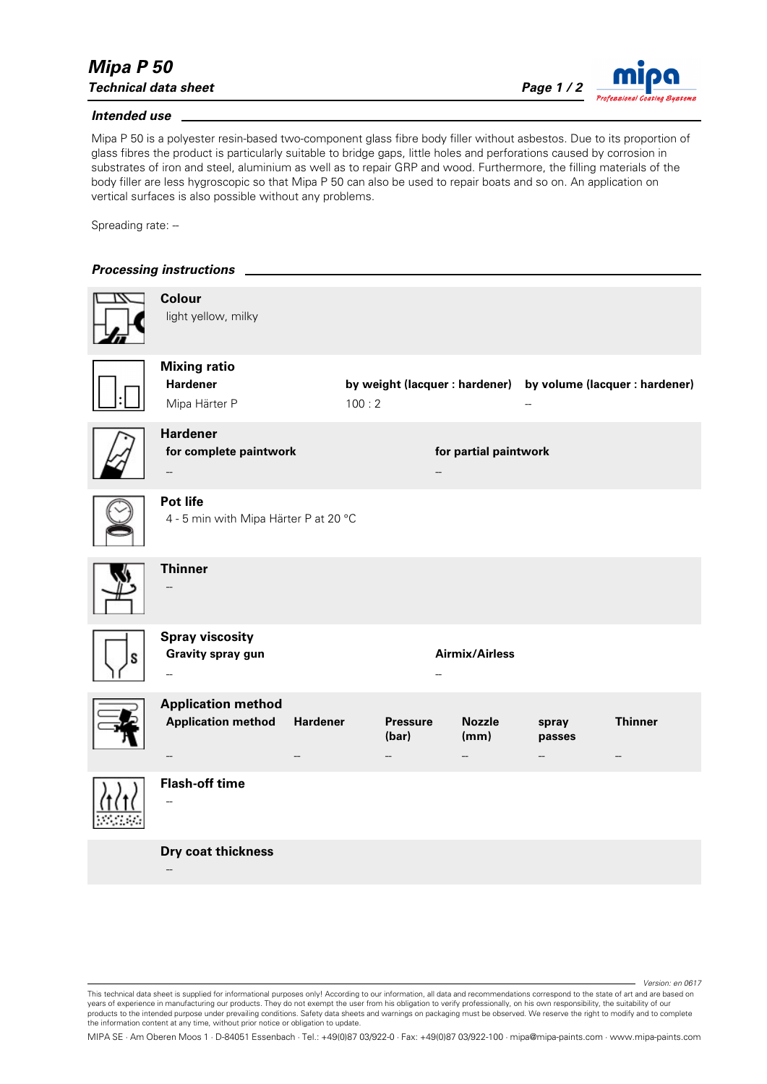*Version: en 0617*

## *Intended use*

Mipa P 50 is a polyester resin-based two-component glass fibre body filler without asbestos. Due to its proportion of glass fibres the product is particularly suitable to bridge gaps, little holes and perforations caused by corrosion in substrates of iron and steel, aluminium as well as to repair GRP and wood. Furthermore, the filling materials of the body filler are less hygroscopic so that Mipa P 50 can also be used to repair boats and so on. An application on vertical surfaces is also possible without any problems.

Spreading rate: -

## *Processing instructions*

--

|   | <b>Colour</b><br>light yellow, milky                    |                 |       |                          |                       |                 |                                                               |
|---|---------------------------------------------------------|-----------------|-------|--------------------------|-----------------------|-----------------|---------------------------------------------------------------|
|   | <b>Mixing ratio</b><br><b>Hardener</b><br>Mipa Härter P |                 | 100:2 |                          |                       |                 | by weight (lacquer : hardener) by volume (lacquer : hardener) |
|   | <b>Hardener</b><br>for complete paintwork               |                 |       |                          | for partial paintwork |                 |                                                               |
|   | Pot life<br>4 - 5 min with Mipa Härter P at 20 °C       |                 |       |                          |                       |                 |                                                               |
|   | <b>Thinner</b>                                          |                 |       |                          |                       |                 |                                                               |
| ς | <b>Spray viscosity</b><br><b>Gravity spray gun</b>      |                 |       |                          | <b>Airmix/Airless</b> |                 |                                                               |
|   | <b>Application method</b><br><b>Application method</b>  | <b>Hardener</b> |       | <b>Pressure</b><br>(bar) | <b>Nozzle</b><br>(mm) | spray<br>passes | <b>Thinner</b>                                                |
|   | <b>Flash-off time</b>                                   |                 |       |                          |                       |                 |                                                               |
|   | Dry coat thickness                                      |                 |       |                          |                       |                 |                                                               |

MIPA SE · Am Oberen Moos 1 · D-84051 Essenbach · Tel.: +49(0)87 03/922-0 · Fax: +49(0)87 03/922-100 · mipa@mipa-paints.com · www.mipa-paints.com